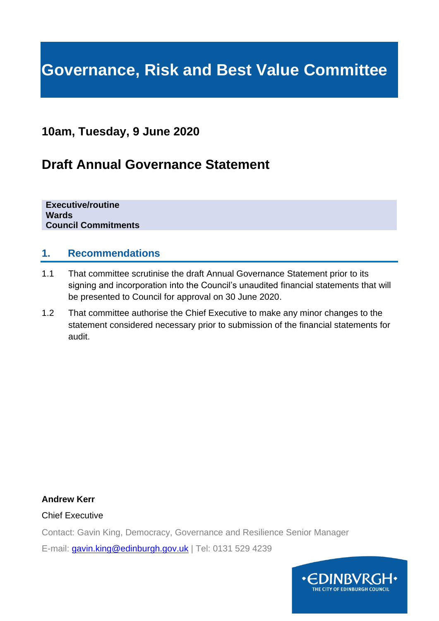# **Governance, Risk and Best Value Committee**

## **10am, Tuesday, 9 June 2020**

## **Draft Annual Governance Statement**

**Executive/routine Wards Council Commitments**

### **1. Recommendations**

- 1.1 That committee scrutinise the draft Annual Governance Statement prior to its signing and incorporation into the Council's unaudited financial statements that will be presented to Council for approval on 30 June 2020.
- 1.2 That committee authorise the Chief Executive to make any minor changes to the statement considered necessary prior to submission of the financial statements for audit.

#### **Andrew Kerr**

Chief Executive

Contact: Gavin King, Democracy, Governance and Resilience Senior Manager

E-mail: [gavin.king@edinburgh.gov.uk](mailto:gavin.king@edinburgh.gov.uk) | Tel: 0131 529 4239

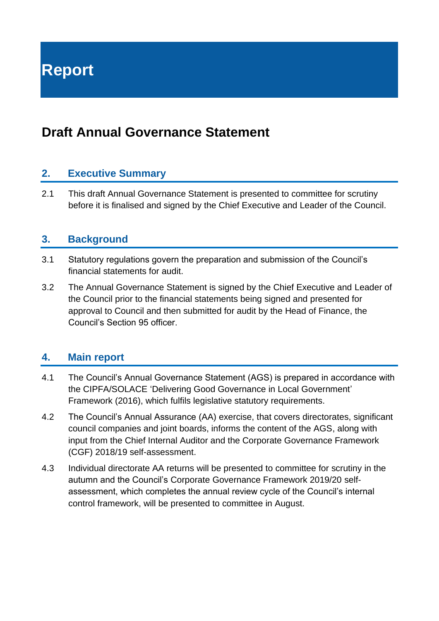**Report**

## **Draft Annual Governance Statement**

## **2. Executive Summary**

2.1 This draft Annual Governance Statement is presented to committee for scrutiny before it is finalised and signed by the Chief Executive and Leader of the Council.

### **3. Background**

- 3.1 Statutory regulations govern the preparation and submission of the Council's financial statements for audit.
- 3.2 The Annual Governance Statement is signed by the Chief Executive and Leader of the Council prior to the financial statements being signed and presented for approval to Council and then submitted for audit by the Head of Finance, the Council's Section 95 officer.

## **4. Main report**

- 4.1 The Council's Annual Governance Statement (AGS) is prepared in accordance with the CIPFA/SOLACE 'Delivering Good Governance in Local Government' Framework (2016), which fulfils legislative statutory requirements.
- 4.2 The Council's Annual Assurance (AA) exercise, that covers directorates, significant council companies and joint boards, informs the content of the AGS, along with input from the Chief Internal Auditor and the Corporate Governance Framework (CGF) 2018/19 self-assessment.
- 4.3 Individual directorate AA returns will be presented to committee for scrutiny in the autumn and the Council's Corporate Governance Framework 2019/20 selfassessment, which completes the annual review cycle of the Council's internal control framework, will be presented to committee in August.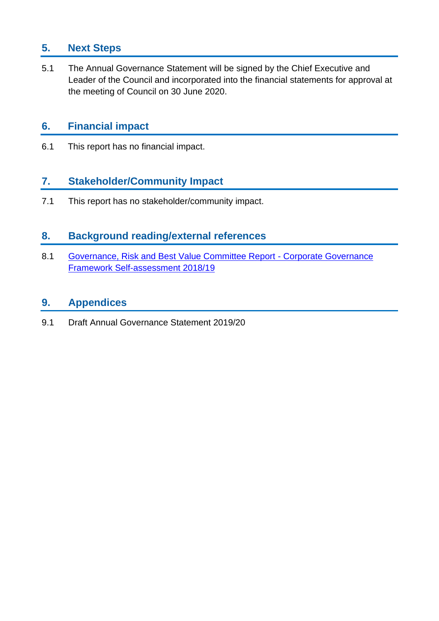## **5. Next Steps**

5.1 The Annual Governance Statement will be signed by the Chief Executive and Leader of the Council and incorporated into the financial statements for approval at the meeting of Council on 30 June 2020.

## **6. Financial impact**

6.1 This report has no financial impact.

## **7. Stakeholder/Community Impact**

7.1 This report has no stakeholder/community impact.

## **8. Background reading/external references**

8.1 [Governance, Risk and Best Value Committee Report -](https://democracy.edinburgh.gov.uk/documents/s6133/Corporate%20Governance%20Framework%20Self-Assessment%202018-19%20GRBV%20final.docx.pdf) Corporate Governance [Framework Self-assessment 2018/19](https://democracy.edinburgh.gov.uk/documents/s6133/Corporate%20Governance%20Framework%20Self-Assessment%202018-19%20GRBV%20final.docx.pdf)

## **9. Appendices**

9.1 Draft Annual Governance Statement 2019/20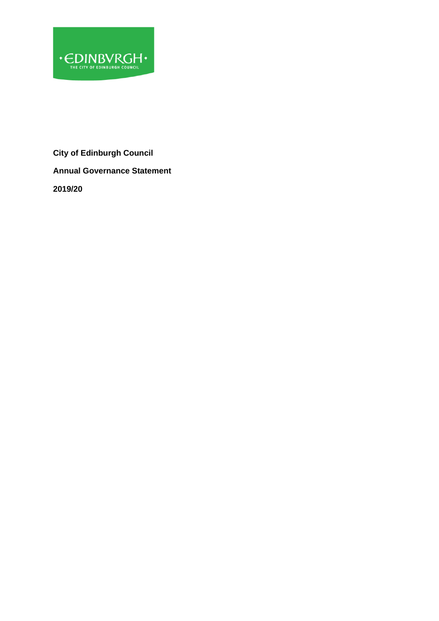

**City of Edinburgh Council Annual Governance Statement 2019/20**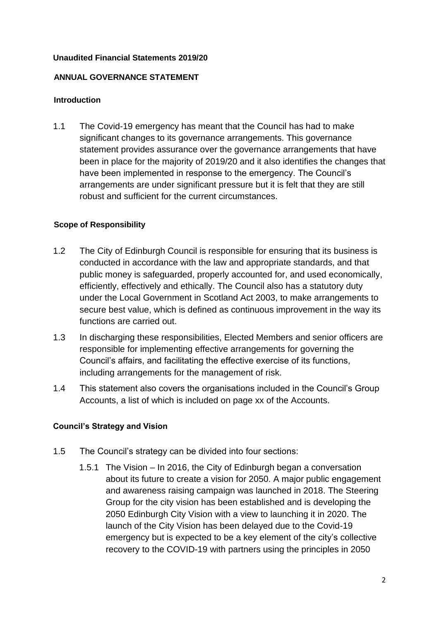#### **Unaudited Financial Statements 2019/20**

#### **ANNUAL GOVERNANCE STATEMENT**

#### **Introduction**

1.1 The Covid-19 emergency has meant that the Council has had to make significant changes to its governance arrangements. This governance statement provides assurance over the governance arrangements that have been in place for the majority of 2019/20 and it also identifies the changes that have been implemented in response to the emergency. The Council's arrangements are under significant pressure but it is felt that they are still robust and sufficient for the current circumstances.

#### **Scope of Responsibility**

- 1.2 The City of Edinburgh Council is responsible for ensuring that its business is conducted in accordance with the law and appropriate standards, and that public money is safeguarded, properly accounted for, and used economically, efficiently, effectively and ethically. The Council also has a statutory duty under the Local Government in Scotland Act 2003, to make arrangements to secure best value, which is defined as continuous improvement in the way its functions are carried out.
- 1.3 In discharging these responsibilities, Elected Members and senior officers are responsible for implementing effective arrangements for governing the Council's affairs, and facilitating the effective exercise of its functions, including arrangements for the management of risk.
- 1.4 This statement also covers the organisations included in the Council's Group Accounts, a list of which is included on page xx of the Accounts.

#### **Council's Strategy and Vision**

- 1.5 The Council's strategy can be divided into four sections:
	- 1.5.1 The Vision In 2016, the City of Edinburgh began a conversation about its future to create a vision for 2050. A major public engagement and awareness raising campaign was launched in 2018. The Steering Group for the city vision has been established and is developing the 2050 Edinburgh City Vision with a view to launching it in 2020. The launch of the City Vision has been delayed due to the Covid-19 emergency but is expected to be a key element of the city's collective recovery to the COVID-19 with partners using the principles in 2050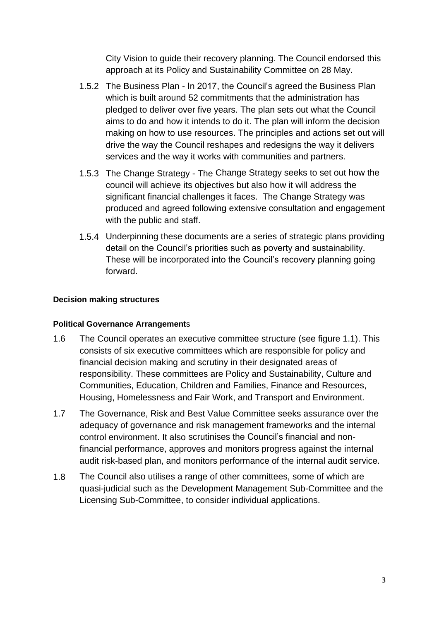City Vision to guide their recovery planning. The Council endorsed this approach at its Policy and Sustainability Committee on 28 May.

- 1.5.2 The Business Plan In 2017, the Council's agreed the Business Plan which is built around 52 commitments that the administration has pledged to deliver over five years. The plan sets out what the Council aims to do and how it intends to do it. The plan will inform the decision making on how to use resources. The principles and actions set out will drive the way the Council reshapes and redesigns the way it delivers services and the way it works with communities and partners.
- 1.5.3 The Change Strategy The Change Strategy seeks to set out how the council will achieve its objectives but also how it will address the significant financial challenges it faces. The Change Strategy was produced and agreed following extensive consultation and engagement with the public and staff.
- 1.5.4 Underpinning these documents are a series of strategic plans providing detail on the Council's priorities such as poverty and sustainability. These will be incorporated into the Council's recovery planning going forward.

#### **Decision making structures**

#### **Political Governance Arrangement**s

- 1.6 The Council operates an executive committee structure (see figure 1.1). This consists of six executive committees which are responsible for policy and financial decision making and scrutiny in their designated areas of responsibility. These committees are Policy and Sustainability, Culture and Communities, Education, Children and Families, Finance and Resources, Housing, Homelessness and Fair Work, and Transport and Environment.
- 1.7 The Governance, Risk and Best Value Committee seeks assurance over the adequacy of governance and risk management frameworks and the internal control environment. It also scrutinises the Council's financial and nonfinancial performance, approves and monitors progress against the internal audit risk-based plan, and monitors performance of the internal audit service.
- 1.8 The Council also utilises a range of other committees, some of which are quasi-judicial such as the Development Management Sub-Committee and the Licensing Sub-Committee, to consider individual applications.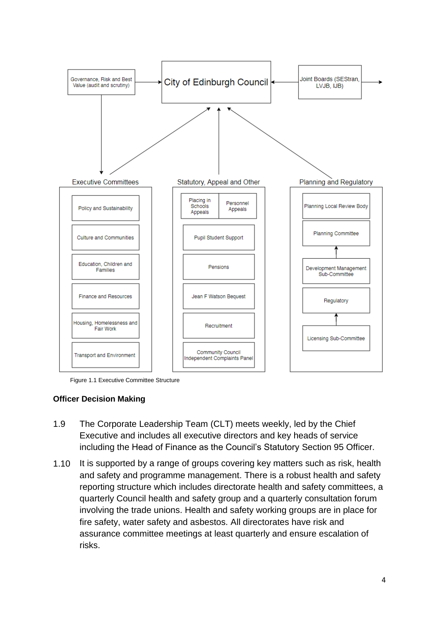

Figure 1.1 Executive Committee Structure

#### **Officer Decision Making**

- 1.9 The Corporate Leadership Team (CLT) meets weekly, led by the Chief Executive and includes all executive directors and key heads of service including the Head of Finance as the Council's Statutory Section 95 Officer.
- 1.10 It is supported by a range of groups covering key matters such as risk, health and safety and programme management. There is a robust health and safety reporting structure which includes directorate health and safety committees, a quarterly Council health and safety group and a quarterly consultation forum involving the trade unions. Health and safety working groups are in place for fire safety, water safety and asbestos. All directorates have risk and assurance committee meetings at least quarterly and ensure escalation of risks.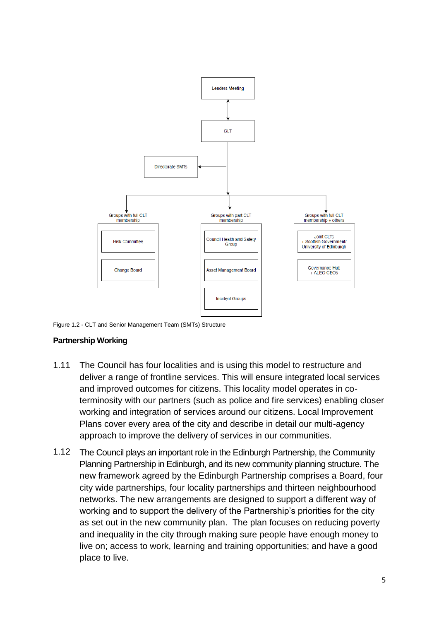

Figure 1.2 - CLT and Senior Management Team (SMTs) Structure

#### **Partnership Working**

- 1.11 The Council has four localities and is using this model to restructure and deliver a range of frontline services. This will ensure integrated local services and improved outcomes for citizens. This locality model operates in coterminosity with our partners (such as police and fire services) enabling closer working and integration of services around our citizens. Local Improvement Plans cover every area of the city and describe in detail our multi-agency approach to improve the delivery of services in our communities.
- 1.12 The Council plays an important role in the Edinburgh Partnership, the Community Planning Partnership in Edinburgh, and its new community planning structure. The new framework agreed by the Edinburgh Partnership comprises a Board, four city wide partnerships, four locality partnerships and thirteen neighbourhood networks. The new arrangements are designed to support a different way of working and to support the delivery of the Partnership's priorities for the city as set out in the new community plan. The plan focuses on reducing poverty and inequality in the city through making sure people have enough money to live on; access to work, learning and training opportunities; and have a good place to live.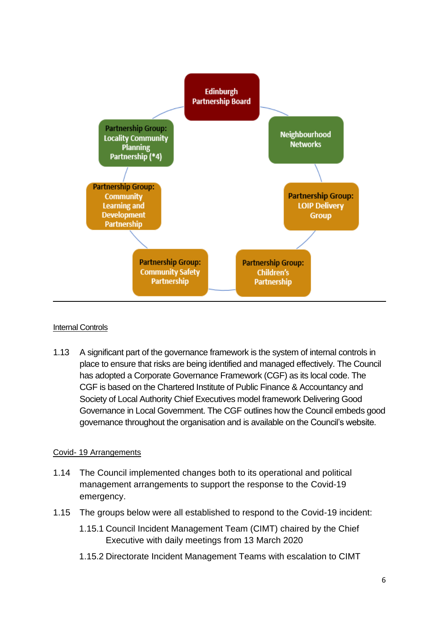

#### Internal Controls

1.13 A significant part of the governance framework is the system of internal controls in place to ensure that risks are being identified and managed effectively. The Council has adopted a Corporate Governance Framework (CGF) as its local code. The CGF is based on the Chartered Institute of Public Finance & Accountancy and Society of Local Authority Chief Executives model framework Delivering Good Governance in Local Government. The CGF outlines how the Council embeds good governance throughout the organisation and is available on the [Council's website.](https://democracy.edinburgh.gov.uk/documents/s6133/Corporate%20Governance%20Framework%20Self-Assessment%202018-19%20GRBV%20final.docx.pdf)

#### Covid- 19 Arrangements

- 1.14 The Council implemented changes both to its operational and political management arrangements to support the response to the Covid-19 emergency.
- 1.15 The groups below were all established to respond to the Covid-19 incident:
	- 1.15.1 Council Incident Management Team (CIMT) chaired by the Chief Executive with daily meetings from 13 March 2020
	- 1.15.2 Directorate Incident Management Teams with escalation to CIMT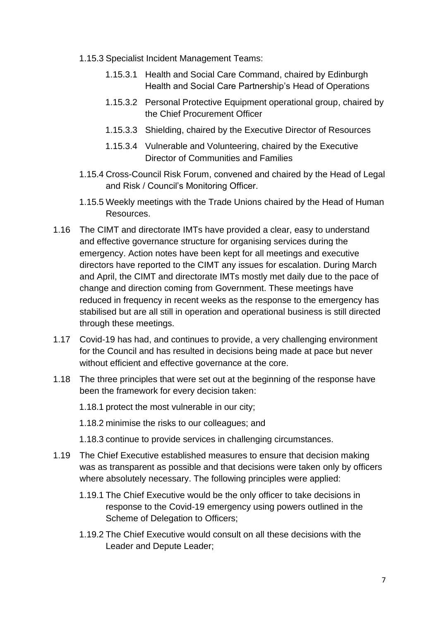- 1.15.3 Specialist Incident Management Teams:
	- 1.15.3.1 Health and Social Care Command, chaired by Edinburgh Health and Social Care Partnership's Head of Operations
	- 1.15.3.2 Personal Protective Equipment operational group, chaired by the Chief Procurement Officer
	- 1.15.3.3 Shielding, chaired by the Executive Director of Resources
	- 1.15.3.4 Vulnerable and Volunteering, chaired by the Executive Director of Communities and Families
- 1.15.4 Cross-Council Risk Forum, convened and chaired by the Head of Legal and Risk / Council's Monitoring Officer.
- 1.15.5 Weekly meetings with the Trade Unions chaired by the Head of Human Resources.
- 1.16 The CIMT and directorate IMTs have provided a clear, easy to understand and effective governance structure for organising services during the emergency. Action notes have been kept for all meetings and executive directors have reported to the CIMT any issues for escalation. During March and April, the CIMT and directorate IMTs mostly met daily due to the pace of change and direction coming from Government. These meetings have reduced in frequency in recent weeks as the response to the emergency has stabilised but are all still in operation and operational business is still directed through these meetings.
- 1.17 Covid-19 has had, and continues to provide, a very challenging environment for the Council and has resulted in decisions being made at pace but never without efficient and effective governance at the core.
- 1.18 The three principles that were set out at the beginning of the response have been the framework for every decision taken:
	- 1.18.1 protect the most vulnerable in our city;
	- 1.18.2 minimise the risks to our colleagues; and
	- 1.18.3 continue to provide services in challenging circumstances.
- 1.19 The Chief Executive established measures to ensure that decision making was as transparent as possible and that decisions were taken only by officers where absolutely necessary. The following principles were applied:
	- 1.19.1 The Chief Executive would be the only officer to take decisions in response to the Covid-19 emergency using powers outlined in the Scheme of Delegation to Officers;
	- 1.19.2 The Chief Executive would consult on all these decisions with the Leader and Depute Leader;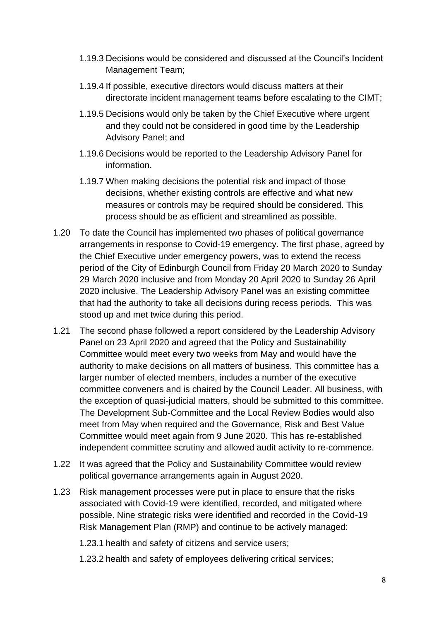- 1.19.3 Decisions would be considered and discussed at the Council's Incident Management Team;
- 1.19.4 If possible, executive directors would discuss matters at their directorate incident management teams before escalating to the CIMT;
- 1.19.5 Decisions would only be taken by the Chief Executive where urgent and they could not be considered in good time by the Leadership Advisory Panel; and
- 1.19.6 Decisions would be reported to the Leadership Advisory Panel for information.
- 1.19.7 When making decisions the potential risk and impact of those decisions, whether existing controls are effective and what new measures or controls may be required should be considered. This process should be as efficient and streamlined as possible.
- 1.20 To date the Council has implemented two phases of political governance arrangements in response to Covid-19 emergency. The first phase, agreed by the Chief Executive under emergency powers, was to extend the recess period of the City of Edinburgh Council from Friday 20 March 2020 to Sunday 29 March 2020 inclusive and from Monday 20 April 2020 to Sunday 26 April 2020 inclusive. The Leadership Advisory Panel was an existing committee that had the authority to take all decisions during recess periods. This was stood up and met twice during this period.
- 1.21 The second phase followed a report considered by the Leadership Advisory Panel on 23 April 2020 and agreed that the Policy and Sustainability Committee would meet every two weeks from May and would have the authority to make decisions on all matters of business. This committee has a larger number of elected members, includes a number of the executive committee conveners and is chaired by the Council Leader. All business, with the exception of quasi-judicial matters, should be submitted to this committee. The Development Sub-Committee and the Local Review Bodies would also meet from May when required and the Governance, Risk and Best Value Committee would meet again from 9 June 2020. This has re-established independent committee scrutiny and allowed audit activity to re-commence.
- 1.22 It was agreed that the Policy and Sustainability Committee would review political governance arrangements again in August 2020.
- 1.23 Risk management processes were put in place to ensure that the risks associated with Covid-19 were identified, recorded, and mitigated where possible. Nine strategic risks were identified and recorded in the Covid-19 Risk Management Plan (RMP) and continue to be actively managed:
	- 1.23.1 health and safety of citizens and service users;
	- 1.23.2 health and safety of employees delivering critical services;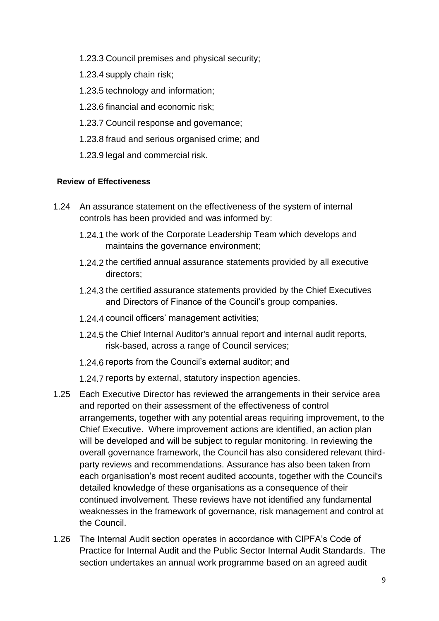- 1.23.3 Council premises and physical security;
- 1.23.4 supply chain risk;
- 1.23.5 technology and information;
- 1.23.6 financial and economic risk;
- 1.23.7 Council response and governance;
- 1.23.8 fraud and serious organised crime; and
- 1.23.9 legal and commercial risk.

#### **Review of Effectiveness**

- 1.24 An assurance statement on the effectiveness of the system of internal controls has been provided and was informed by:
	- 1.24.1 the work of the Corporate Leadership Team which develops and maintains the governance environment;
	- 1.24.2 the certified annual assurance statements provided by all executive directors;
	- 1.24.3 the certified assurance statements provided by the Chief Executives and Directors of Finance of the Council's group companies.
	- 1.24.4 council officers' management activities;
	- 1.24.5 the Chief Internal Auditor's annual report and internal audit reports, risk-based, across a range of Council services;
	- 1.24.6 reports from the Council's external auditor; and
	- 1.24.7 reports by external, statutory inspection agencies.
- 1.25 Each Executive Director has reviewed the arrangements in their service area and reported on their assessment of the effectiveness of control arrangements, together with any potential areas requiring improvement, to the Chief Executive. Where improvement actions are identified, an action plan will be developed and will be subject to regular monitoring. In reviewing the overall governance framework, the Council has also considered relevant thirdparty reviews and recommendations. Assurance has also been taken from each organisation's most recent audited accounts, together with the Council's detailed knowledge of these organisations as a consequence of their continued involvement. These reviews have not identified any fundamental weaknesses in the framework of governance, risk management and control at the Council.
- 1.26 The Internal Audit section operates in accordance with CIPFA's Code of Practice for Internal Audit and the Public Sector Internal Audit Standards. The section undertakes an annual work programme based on an agreed audit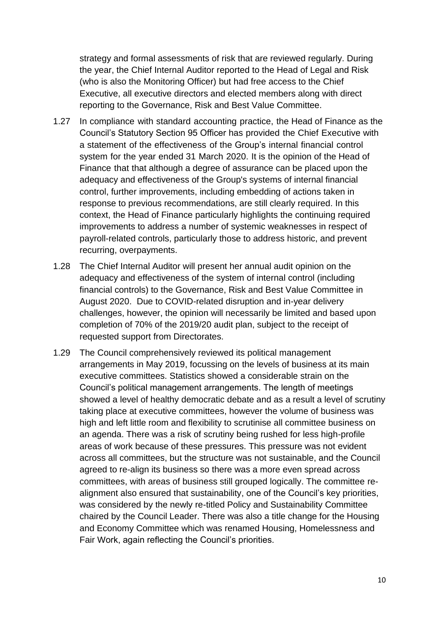strategy and formal assessments of risk that are reviewed regularly. During the year, the Chief Internal Auditor reported to the Head of Legal and Risk (who is also the Monitoring Officer) but had free access to the Chief Executive, all executive directors and elected members along with direct reporting to the Governance, Risk and Best Value Committee.

- 1.27 In compliance with standard accounting practice, the Head of Finance as the Council's Statutory Section 95 Officer has provided the Chief Executive with a statement of the effectiveness of the Group's internal financial control system for the year ended 31 March 2020. It is the opinion of the Head of Finance that that although a degree of assurance can be placed upon the adequacy and effectiveness of the Group's systems of internal financial control, further improvements, including embedding of actions taken in response to previous recommendations, are still clearly required. In this context, the Head of Finance particularly highlights the continuing required improvements to address a number of systemic weaknesses in respect of payroll-related controls, particularly those to address historic, and prevent recurring, overpayments.
- 1.28 The Chief Internal Auditor will present her annual audit opinion on the adequacy and effectiveness of the system of internal control (including financial controls) to the Governance, Risk and Best Value Committee in August 2020. Due to COVID-related disruption and in-year delivery challenges, however, the opinion will necessarily be limited and based upon completion of 70% of the 2019/20 audit plan, subject to the receipt of requested support from Directorates.
- 1.29 The Council comprehensively reviewed its political management arrangements in May 2019, focussing on the levels of business at its main executive committees. Statistics showed a considerable strain on the Council's political management arrangements. The length of meetings showed a level of healthy democratic debate and as a result a level of scrutiny taking place at executive committees, however the volume of business was high and left little room and flexibility to scrutinise all committee business on an agenda. There was a risk of scrutiny being rushed for less high-profile areas of work because of these pressures. This pressure was not evident across all committees, but the structure was not sustainable, and the Council agreed to re-align its business so there was a more even spread across committees, with areas of business still grouped logically. The committee realignment also ensured that sustainability, one of the Council's key priorities, was considered by the newly re-titled Policy and Sustainability Committee chaired by the Council Leader. There was also a title change for the Housing and Economy Committee which was renamed Housing, Homelessness and Fair Work, again reflecting the Council's priorities.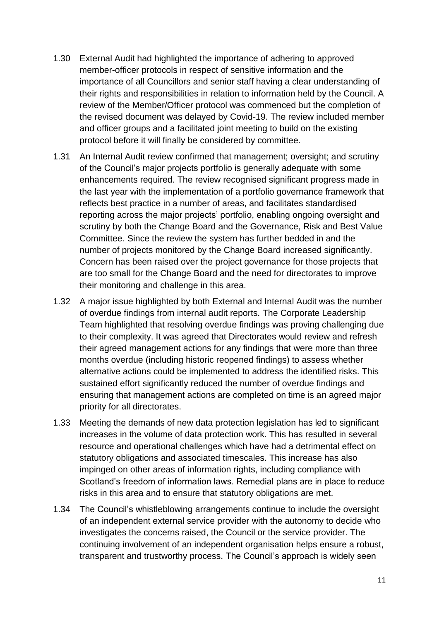- 1.30 External Audit had highlighted the importance of adhering to approved member-officer protocols in respect of sensitive information and the importance of all Councillors and senior staff having a clear understanding of their rights and responsibilities in relation to information held by the Council. A review of the Member/Officer protocol was commenced but the completion of the revised document was delayed by Covid-19. The review included member and officer groups and a facilitated joint meeting to build on the existing protocol before it will finally be considered by committee.
- 1.31 An Internal Audit review confirmed that management; oversight; and scrutiny of the Council's major projects portfolio is generally adequate with some enhancements required. The review recognised significant progress made in the last year with the implementation of a portfolio governance framework that reflects best practice in a number of areas, and facilitates standardised reporting across the major projects' portfolio, enabling ongoing oversight and scrutiny by both the Change Board and the Governance, Risk and Best Value Committee. Since the review the system has further bedded in and the number of projects monitored by the Change Board increased significantly. Concern has been raised over the project governance for those projects that are too small for the Change Board and the need for directorates to improve their monitoring and challenge in this area.
- 1.32 A major issue highlighted by both External and Internal Audit was the number of overdue findings from internal audit reports. The Corporate Leadership Team highlighted that resolving overdue findings was proving challenging due to their complexity. It was agreed that Directorates would review and refresh their agreed management actions for any findings that were more than three months overdue (including historic reopened findings) to assess whether alternative actions could be implemented to address the identified risks. This sustained effort significantly reduced the number of overdue findings and ensuring that management actions are completed on time is an agreed major priority for all directorates.
- 1.33 Meeting the demands of new data protection legislation has led to significant increases in the volume of data protection work. This has resulted in several resource and operational challenges which have had a detrimental effect on statutory obligations and associated timescales. This increase has also impinged on other areas of information rights, including compliance with Scotland's freedom of information laws. Remedial plans are in place to reduce risks in this area and to ensure that statutory obligations are met.
- 1.34 The Council's whistleblowing arrangements continue to include the oversight of an independent external service provider with the autonomy to decide who investigates the concerns raised, the Council or the service provider. The continuing involvement of an independent organisation helps ensure a robust, transparent and trustworthy process. The Council's approach is widely seen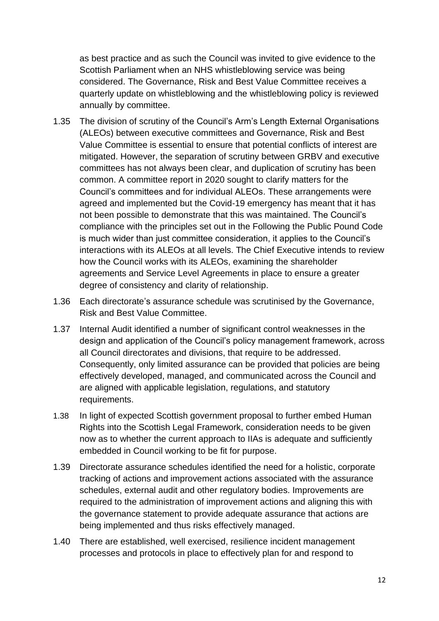as best practice and as such the Council was invited to give evidence to the Scottish Parliament when an NHS whistleblowing service was being considered. The Governance, Risk and Best Value Committee receives a quarterly update on whistleblowing and the whistleblowing policy is reviewed annually by committee.

- 1.35 The division of scrutiny of the Council's Arm's Length External Organisations (ALEOs) between executive committees and Governance, Risk and Best Value Committee is essential to ensure that potential conflicts of interest are mitigated. However, the separation of scrutiny between GRBV and executive committees has not always been clear, and duplication of scrutiny has been common. A committee report in 2020 sought to clarify matters for the Council's committees and for individual ALEOs. These arrangements were agreed and implemented but the Covid-19 emergency has meant that it has not been possible to demonstrate that this was maintained. The Council's compliance with the principles set out in the Following the Public Pound Code is much wider than just committee consideration, it applies to the Council's interactions with its ALEOs at all levels. The Chief Executive intends to review how the Council works with its ALEOs, examining the shareholder agreements and Service Level Agreements in place to ensure a greater degree of consistency and clarity of relationship.
- 1.36 Each directorate's assurance schedule was scrutinised by the Governance, Risk and Best Value Committee.
- 1.37 Internal Audit identified a number of significant control weaknesses in the design and application of the Council's policy management framework, across all Council directorates and divisions, that require to be addressed. Consequently, only limited assurance can be provided that policies are being effectively developed, managed, and communicated across the Council and are aligned with applicable legislation, regulations, and statutory requirements.
- 1.38 In light of expected Scottish government proposal to further embed Human Rights into the Scottish Legal Framework, consideration needs to be given now as to whether the current approach to IIAs is adequate and sufficiently embedded in Council working to be fit for purpose.
- 1.39 Directorate assurance schedules identified the need for a holistic, corporate tracking of actions and improvement actions associated with the assurance schedules, external audit and other regulatory bodies. Improvements are required to the administration of improvement actions and aligning this with the governance statement to provide adequate assurance that actions are being implemented and thus risks effectively managed.
- 1.40 There are established, well exercised, resilience incident management processes and protocols in place to effectively plan for and respond to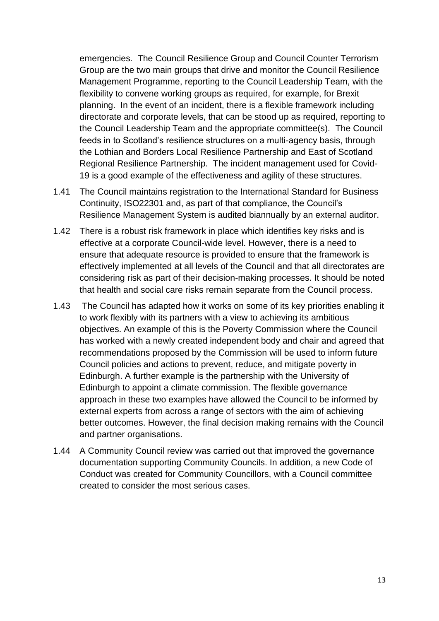emergencies. The Council Resilience Group and Council Counter Terrorism Group are the two main groups that drive and monitor the Council Resilience Management Programme, reporting to the Council Leadership Team, with the flexibility to convene working groups as required, for example, for Brexit planning. In the event of an incident, there is a flexible framework including directorate and corporate levels, that can be stood up as required, reporting to the Council Leadership Team and the appropriate committee(s). The Council feeds in to Scotland's resilience structures on a multi-agency basis, through the Lothian and Borders Local Resilience Partnership and East of Scotland Regional Resilience Partnership. The incident management used for Covid-19 is a good example of the effectiveness and agility of these structures.

- 1.41 The Council maintains registration to the International Standard for Business Continuity, ISO22301 and, as part of that compliance, the Council's Resilience Management System is audited biannually by an external auditor.
- 1.42 There is a robust risk framework in place which identifies key risks and is effective at a corporate Council-wide level. However, there is a need to ensure that adequate resource is provided to ensure that the framework is effectively implemented at all levels of the Council and that all directorates are considering risk as part of their decision-making processes. It should be noted that health and social care risks remain separate from the Council process.
- 1.43 The Council has adapted how it works on some of its key priorities enabling it to work flexibly with its partners with a view to achieving its ambitious objectives. An example of this is the Poverty Commission where the Council has worked with a newly created independent body and chair and agreed that recommendations proposed by the Commission will be used to inform future Council policies and actions to prevent, reduce, and mitigate poverty in Edinburgh. A further example is the partnership with the University of Edinburgh to appoint a climate commission. The flexible governance approach in these two examples have allowed the Council to be informed by external experts from across a range of sectors with the aim of achieving better outcomes. However, the final decision making remains with the Council and partner organisations.
- 1.44 A Community Council review was carried out that improved the governance documentation supporting Community Councils. In addition, a new Code of Conduct was created for Community Councillors, with a Council committee created to consider the most serious cases.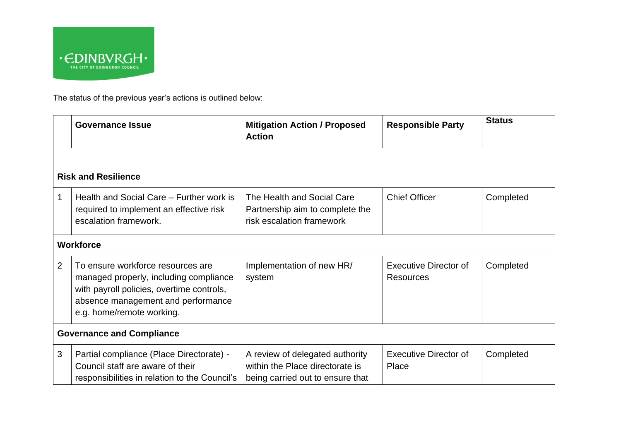

The status of the previous year's actions is outlined below:

|                                  | <b>Governance Issue</b>                                                                                                                                                                     | <b>Mitigation Action / Proposed</b><br><b>Action</b>                                                   | <b>Responsible Party</b>                         | <b>Status</b> |  |  |
|----------------------------------|---------------------------------------------------------------------------------------------------------------------------------------------------------------------------------------------|--------------------------------------------------------------------------------------------------------|--------------------------------------------------|---------------|--|--|
|                                  |                                                                                                                                                                                             |                                                                                                        |                                                  |               |  |  |
|                                  | <b>Risk and Resilience</b>                                                                                                                                                                  |                                                                                                        |                                                  |               |  |  |
| 1                                | Health and Social Care – Further work is<br>required to implement an effective risk<br>escalation framework.                                                                                | The Health and Social Care<br>Partnership aim to complete the<br>risk escalation framework             | <b>Chief Officer</b>                             | Completed     |  |  |
|                                  | <b>Workforce</b>                                                                                                                                                                            |                                                                                                        |                                                  |               |  |  |
| 2                                | To ensure workforce resources are<br>managed properly, including compliance<br>with payroll policies, overtime controls,<br>absence management and performance<br>e.g. home/remote working. | Implementation of new HR/<br>system                                                                    | <b>Executive Director of</b><br><b>Resources</b> | Completed     |  |  |
| <b>Governance and Compliance</b> |                                                                                                                                                                                             |                                                                                                        |                                                  |               |  |  |
| 3                                | Partial compliance (Place Directorate) -<br>Council staff are aware of their<br>responsibilities in relation to the Council's                                                               | A review of delegated authority<br>within the Place directorate is<br>being carried out to ensure that | <b>Executive Director of</b><br>Place            | Completed     |  |  |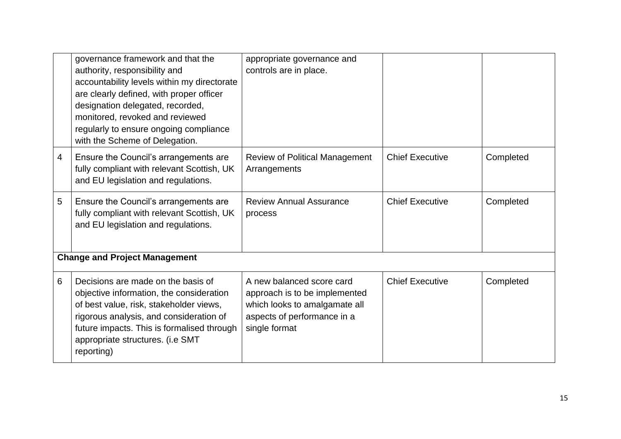|   | governance framework and that the<br>authority, responsibility and<br>accountability levels within my directorate<br>are clearly defined, with proper officer<br>designation delegated, recorded,<br>monitored, revoked and reviewed<br>regularly to ensure ongoing compliance<br>with the Scheme of Delegation. | appropriate governance and<br>controls are in place.                                                                                        |                        |           |
|---|------------------------------------------------------------------------------------------------------------------------------------------------------------------------------------------------------------------------------------------------------------------------------------------------------------------|---------------------------------------------------------------------------------------------------------------------------------------------|------------------------|-----------|
| 4 | Ensure the Council's arrangements are<br>fully compliant with relevant Scottish, UK<br>and EU legislation and regulations.                                                                                                                                                                                       | <b>Review of Political Management</b><br>Arrangements                                                                                       | <b>Chief Executive</b> | Completed |
| 5 | Ensure the Council's arrangements are<br>fully compliant with relevant Scottish, UK<br>and EU legislation and regulations.                                                                                                                                                                                       | <b>Review Annual Assurance</b><br>process                                                                                                   | <b>Chief Executive</b> | Completed |
|   | <b>Change and Project Management</b>                                                                                                                                                                                                                                                                             |                                                                                                                                             |                        |           |
| 6 | Decisions are made on the basis of<br>objective information, the consideration<br>of best value, risk, stakeholder views,<br>rigorous analysis, and consideration of<br>future impacts. This is formalised through<br>appropriate structures. (i.e SMT<br>reporting)                                             | A new balanced score card<br>approach is to be implemented<br>which looks to amalgamate all<br>aspects of performance in a<br>single format | <b>Chief Executive</b> | Completed |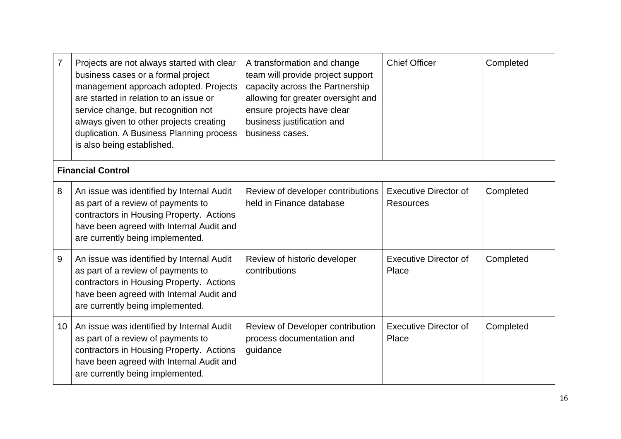| 7  | Projects are not always started with clear<br>business cases or a formal project<br>management approach adopted. Projects<br>are started in relation to an issue or<br>service change, but recognition not<br>always given to other projects creating<br>duplication. A Business Planning process<br>is also being established. | A transformation and change<br>team will provide project support<br>capacity across the Partnership<br>allowing for greater oversight and<br>ensure projects have clear<br>business justification and<br>business cases. | <b>Chief Officer</b>                             | Completed |
|----|---------------------------------------------------------------------------------------------------------------------------------------------------------------------------------------------------------------------------------------------------------------------------------------------------------------------------------|--------------------------------------------------------------------------------------------------------------------------------------------------------------------------------------------------------------------------|--------------------------------------------------|-----------|
|    | <b>Financial Control</b>                                                                                                                                                                                                                                                                                                        |                                                                                                                                                                                                                          |                                                  |           |
| 8  | An issue was identified by Internal Audit<br>as part of a review of payments to<br>contractors in Housing Property. Actions<br>have been agreed with Internal Audit and<br>are currently being implemented.                                                                                                                     | Review of developer contributions<br>held in Finance database                                                                                                                                                            | <b>Executive Director of</b><br><b>Resources</b> | Completed |
| 9  | An issue was identified by Internal Audit<br>as part of a review of payments to<br>contractors in Housing Property. Actions<br>have been agreed with Internal Audit and<br>are currently being implemented.                                                                                                                     | Review of historic developer<br>contributions                                                                                                                                                                            | <b>Executive Director of</b><br>Place            | Completed |
| 10 | An issue was identified by Internal Audit<br>as part of a review of payments to<br>contractors in Housing Property. Actions<br>have been agreed with Internal Audit and<br>are currently being implemented.                                                                                                                     | Review of Developer contribution<br>process documentation and<br>guidance                                                                                                                                                | <b>Executive Director of</b><br>Place            | Completed |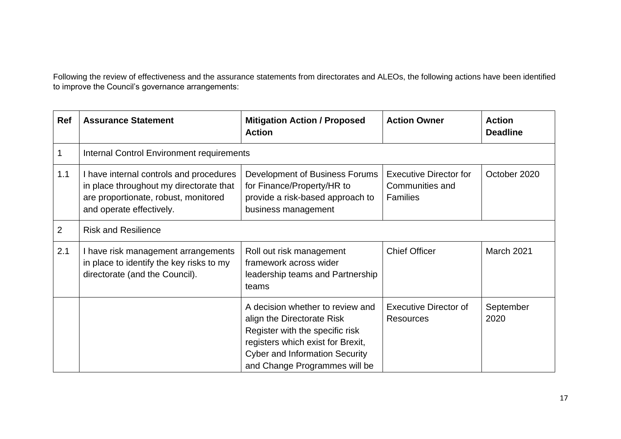Following the review of effectiveness and the assurance statements from directorates and ALEOs, the following actions have been identified to improve the Council's governance arrangements:

| Ref            | <b>Assurance Statement</b>                                                                                                                             | <b>Mitigation Action / Proposed</b><br><b>Action</b>                                                                                                                                                             | <b>Action Owner</b>                                                 | <b>Action</b><br><b>Deadline</b> |
|----------------|--------------------------------------------------------------------------------------------------------------------------------------------------------|------------------------------------------------------------------------------------------------------------------------------------------------------------------------------------------------------------------|---------------------------------------------------------------------|----------------------------------|
|                | <b>Internal Control Environment requirements</b>                                                                                                       |                                                                                                                                                                                                                  |                                                                     |                                  |
| 1.1            | I have internal controls and procedures<br>in place throughout my directorate that<br>are proportionate, robust, monitored<br>and operate effectively. | Development of Business Forums<br>for Finance/Property/HR to<br>provide a risk-based approach to<br>business management                                                                                          | <b>Executive Director for</b><br>Communities and<br><b>Families</b> | October 2020                     |
| $\overline{2}$ | <b>Risk and Resilience</b>                                                                                                                             |                                                                                                                                                                                                                  |                                                                     |                                  |
| 2.1            | I have risk management arrangements<br>in place to identify the key risks to my<br>directorate (and the Council).                                      | Roll out risk management<br>framework across wider<br>leadership teams and Partnership<br>teams                                                                                                                  | <b>Chief Officer</b>                                                | March 2021                       |
|                |                                                                                                                                                        | A decision whether to review and<br>align the Directorate Risk<br>Register with the specific risk<br>registers which exist for Brexit,<br><b>Cyber and Information Security</b><br>and Change Programmes will be | <b>Executive Director of</b><br><b>Resources</b>                    | September<br>2020                |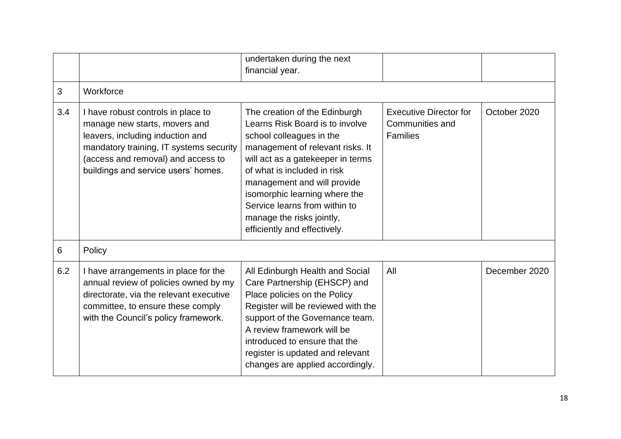|     |                                                                                                                                                                                                                                 | undertaken during the next<br>financial year.                                                                                                                                                                                                                                                                                                                      |                                                                     |               |
|-----|---------------------------------------------------------------------------------------------------------------------------------------------------------------------------------------------------------------------------------|--------------------------------------------------------------------------------------------------------------------------------------------------------------------------------------------------------------------------------------------------------------------------------------------------------------------------------------------------------------------|---------------------------------------------------------------------|---------------|
| 3   | Workforce                                                                                                                                                                                                                       |                                                                                                                                                                                                                                                                                                                                                                    |                                                                     |               |
| 3.4 | I have robust controls in place to<br>manage new starts, movers and<br>leavers, including induction and<br>mandatory training, IT systems security<br>(access and removal) and access to<br>buildings and service users' homes. | The creation of the Edinburgh<br>Learns Risk Board is to involve<br>school colleagues in the<br>management of relevant risks. It<br>will act as a gatekeeper in terms<br>of what is included in risk<br>management and will provide<br>isomorphic learning where the<br>Service learns from within to<br>manage the risks jointly,<br>efficiently and effectively. | <b>Executive Director for</b><br>Communities and<br><b>Families</b> | October 2020  |
| 6   | Policy                                                                                                                                                                                                                          |                                                                                                                                                                                                                                                                                                                                                                    |                                                                     |               |
| 6.2 | I have arrangements in place for the<br>annual review of policies owned by my<br>directorate, via the relevant executive<br>committee, to ensure these comply<br>with the Council's policy framework.                           | All Edinburgh Health and Social<br>Care Partnership (EHSCP) and<br>Place policies on the Policy<br>Register will be reviewed with the<br>support of the Governance team.<br>A review framework will be<br>introduced to ensure that the<br>register is updated and relevant<br>changes are applied accordingly.                                                    | All                                                                 | December 2020 |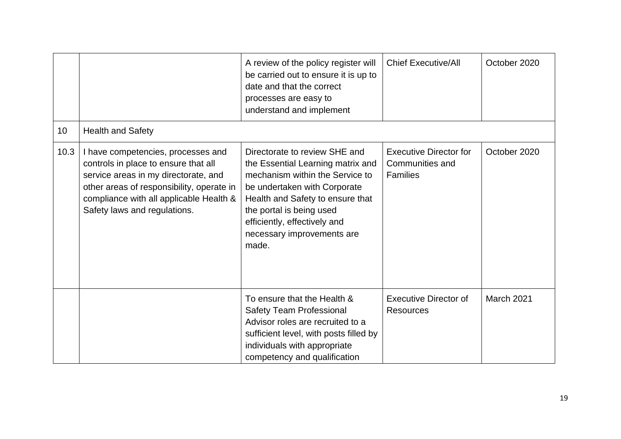|      |                                                                                                                                                                                                                                            | A review of the policy register will<br>be carried out to ensure it is up to<br>date and that the correct<br>processes are easy to<br>understand and implement                                                                                                               | <b>Chief Executive/All</b>                                          | October 2020 |
|------|--------------------------------------------------------------------------------------------------------------------------------------------------------------------------------------------------------------------------------------------|------------------------------------------------------------------------------------------------------------------------------------------------------------------------------------------------------------------------------------------------------------------------------|---------------------------------------------------------------------|--------------|
| 10   | <b>Health and Safety</b>                                                                                                                                                                                                                   |                                                                                                                                                                                                                                                                              |                                                                     |              |
| 10.3 | I have competencies, processes and<br>controls in place to ensure that all<br>service areas in my directorate, and<br>other areas of responsibility, operate in<br>compliance with all applicable Health &<br>Safety laws and regulations. | Directorate to review SHE and<br>the Essential Learning matrix and<br>mechanism within the Service to<br>be undertaken with Corporate<br>Health and Safety to ensure that<br>the portal is being used<br>efficiently, effectively and<br>necessary improvements are<br>made. | <b>Executive Director for</b><br>Communities and<br><b>Families</b> | October 2020 |
|      |                                                                                                                                                                                                                                            | To ensure that the Health &<br><b>Safety Team Professional</b><br>Advisor roles are recruited to a<br>sufficient level, with posts filled by<br>individuals with appropriate<br>competency and qualification                                                                 | <b>Executive Director of</b><br><b>Resources</b>                    | March 2021   |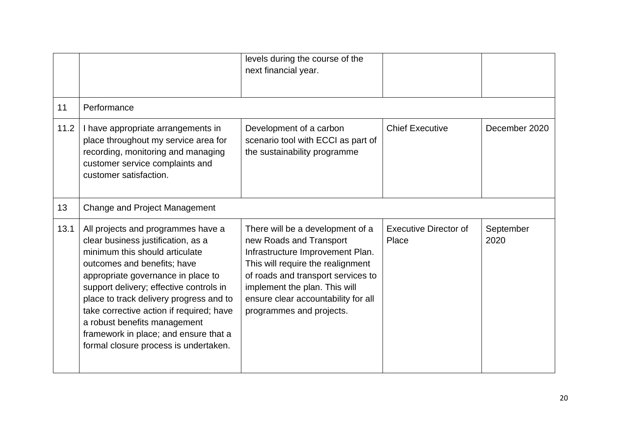|      |                                                                                                                                                                                                                                                                                                                                                                                                                                     | levels during the course of the<br>next financial year.                                                                                                                                                                                                                        |                                       |                   |
|------|-------------------------------------------------------------------------------------------------------------------------------------------------------------------------------------------------------------------------------------------------------------------------------------------------------------------------------------------------------------------------------------------------------------------------------------|--------------------------------------------------------------------------------------------------------------------------------------------------------------------------------------------------------------------------------------------------------------------------------|---------------------------------------|-------------------|
| 11   | Performance                                                                                                                                                                                                                                                                                                                                                                                                                         |                                                                                                                                                                                                                                                                                |                                       |                   |
| 11.2 | I have appropriate arrangements in<br>place throughout my service area for<br>recording, monitoring and managing<br>customer service complaints and<br>customer satisfaction.                                                                                                                                                                                                                                                       | Development of a carbon<br>scenario tool with ECCI as part of<br>the sustainability programme                                                                                                                                                                                  | <b>Chief Executive</b>                | December 2020     |
| 13   | Change and Project Management                                                                                                                                                                                                                                                                                                                                                                                                       |                                                                                                                                                                                                                                                                                |                                       |                   |
| 13.1 | All projects and programmes have a<br>clear business justification, as a<br>minimum this should articulate<br>outcomes and benefits; have<br>appropriate governance in place to<br>support delivery; effective controls in<br>place to track delivery progress and to<br>take corrective action if required; have<br>a robust benefits management<br>framework in place; and ensure that a<br>formal closure process is undertaken. | There will be a development of a<br>new Roads and Transport<br>Infrastructure Improvement Plan.<br>This will require the realignment<br>of roads and transport services to<br>implement the plan. This will<br>ensure clear accountability for all<br>programmes and projects. | <b>Executive Director of</b><br>Place | September<br>2020 |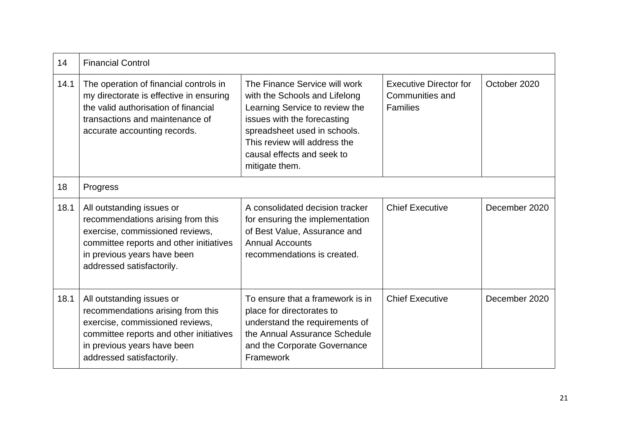| 14   | <b>Financial Control</b>                                                                                                                                                                                 |                                                                                                                                                                                                                                                 |                                                                     |               |
|------|----------------------------------------------------------------------------------------------------------------------------------------------------------------------------------------------------------|-------------------------------------------------------------------------------------------------------------------------------------------------------------------------------------------------------------------------------------------------|---------------------------------------------------------------------|---------------|
| 14.1 | The operation of financial controls in<br>my directorate is effective in ensuring<br>the valid authorisation of financial<br>transactions and maintenance of<br>accurate accounting records.             | The Finance Service will work<br>with the Schools and Lifelong<br>Learning Service to review the<br>issues with the forecasting<br>spreadsheet used in schools.<br>This review will address the<br>causal effects and seek to<br>mitigate them. | <b>Executive Director for</b><br>Communities and<br><b>Families</b> | October 2020  |
| 18   | Progress                                                                                                                                                                                                 |                                                                                                                                                                                                                                                 |                                                                     |               |
| 18.1 | All outstanding issues or<br>recommendations arising from this<br>exercise, commissioned reviews,<br>committee reports and other initiatives<br>in previous years have been<br>addressed satisfactorily. | A consolidated decision tracker<br>for ensuring the implementation<br>of Best Value, Assurance and<br><b>Annual Accounts</b><br>recommendations is created.                                                                                     | <b>Chief Executive</b>                                              | December 2020 |
| 18.1 | All outstanding issues or<br>recommendations arising from this<br>exercise, commissioned reviews,<br>committee reports and other initiatives<br>in previous years have been<br>addressed satisfactorily. | To ensure that a framework is in<br>place for directorates to<br>understand the requirements of<br>the Annual Assurance Schedule<br>and the Corporate Governance<br>Framework                                                                   | <b>Chief Executive</b>                                              | December 2020 |